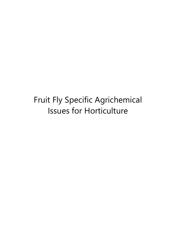# Fruit Fly Specific Agrichemical Issues for Horticulture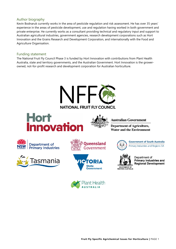# Author biography

Kevin Bodnaruk currently works in the area of pesticide regulation and risk assessment. He has over 35 years' experience in the areas of pesticide development, use and regulation having worked in both government and private enterprise. He currently works as a consultant providing technical and regulatory input and support to Australian agricultural industries, government agencies, research development corporations such as Hort Innovation and the Grains Research and Development Corporation, and internationally with the Food and Agriculture Organisation.

# Funding statement

The National Fruit Fly Council Phase 3 is funded by Hort Innovation with contributions from Plant Health Australia, state and territory governments, and the Australian Government. Hort Innovation is the growerowned, not-for-profit research and development corporation for Australian horticulture.

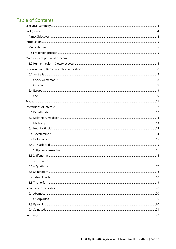# **Table of Contents**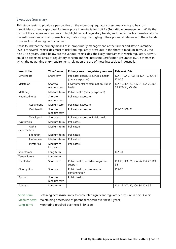# <span id="page-3-0"></span>Executive Summary

This study seeks to provide a perspective on the mounting regulatory pressures coming to bear on insecticides currently approved for in-crop use in Australia for fruit fly (Tephritidae) management. While the focus of the analysis was primarily to highlight current regulatory trends, and their impacts internationally on the authorisations of fruit fly insecticides, it also sought to highlight their potential relevance of these trends from an Australian regulatory context.

It was found that the primary means of in-crop fruit fly management, at the farmer and state quarantine level, are several insecticides most at risk from regulatory pressures in the short to medium-term, i.e., the next 3 to 5 years. Listed below are the various insecticides, the likely timeframes in which regulatory activity could be expected, areas of regulatory concern and the Interstate Certification Assurance (ICA) schemes in which the quarantine entry requirements rely upon the use of these insecticides in Australia.

| Insecticide            | <b>Timeframes</b>       | Primary area of regulatory concern                        | <b>Relevant ICAs</b>                                       |
|------------------------|-------------------------|-----------------------------------------------------------|------------------------------------------------------------|
| Dimethoate             | Short-term              | Pollinator exposure & Public health<br>(dietary exposure) | ICA-1, ICA-2, ICA-18, ICA-19, ICA-21,<br><b>ICA-26</b>     |
| Malathion              | Short to<br>medium term | Environmental contamination, Public<br>health             | ICA-19, ICA-20, ICA-21, ICA-26, ICA-<br>28, ICA-34, ICA-56 |
| Methomyl               | Medium-term             | Public health (dietary exposure)                          |                                                            |
| Neonicotinoids         | Short to<br>medium term | Pollinator exposure                                       |                                                            |
| Acetamiprid            | Medium term             | Pollinator exposure                                       |                                                            |
| Clothianidin           | Short to<br>medium term | Pollinator exposure                                       | ICA-20, ICA-21                                             |
| Thiacloprid            | Short-term              | Pollinator exposure, Public health                        |                                                            |
| Pyrethroids            | Medium-term             | Pollinators                                               |                                                            |
| Alpha-<br>cypermethrin | Medium-term             | Pollinators                                               |                                                            |
| <b>Bifenthrin</b>      | Medium-term             | Pollinators                                               |                                                            |
| Etofenprox             | Medium-term             | Pollinators                                               |                                                            |
| Pyrethrins             | Medium to<br>long-term  | Pollinators                                               |                                                            |
| Spinetoram             | Long-term               |                                                           | $ICA-34$                                                   |
| Tetraniliprole         | Long-term               |                                                           |                                                            |
| Trichlorfon            | Short-term              | Public health, uncertain registrant<br>support            | ICA-20, ICA-21, ICA-26, ICA-28, ICA-<br>34                 |
| Chlorpyrifos           | Short-term              | Public health, environmental<br>contamination             | <b>ICA-28</b>                                              |
| Fipronil               | Short to<br>medium term | Public health                                             |                                                            |
| Spinosad               | Long-term               |                                                           | ICA-19, ICA-20, ICA-34, ICA-56                             |

Short-term: Retaining access/use likely to encounter significant regulatory pressure in next 3 years Medium-term: Maintaining access/use of potential concern over next 5 years Long-term: Monitoring required over next 5-10 years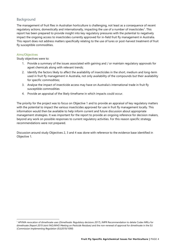# <span id="page-4-0"></span>Background

The management of fruit flies in Australian horticulture is challenging, not least as a consequence of recent regulatory actions, domestically and internationally, impacting the use of a number of insecticides<sup>1</sup>. This report has been prepared to provide insight into key regulatory pressures with the potential to negatively impact the ongoing access to insecticides currently approved for in-field fruit fly management in Australia. This report does not address matters specifically relating to the use of lures or post-harvest treatment of fruit fly susceptible commodities.

## <span id="page-4-1"></span>Aims/Objectives

Study objectives were to:

- 1. Provide a summary of the issues associated with gaining and / or maintain regulatory approvals for agvet chemicals along with relevant trends;
- 2. Identify the factors likely to affect the availability of insecticides in the short, medium and long-term used in fruit fly management in Australia, not only availability of the compounds but their availability for specific commodities;
- 3. Analyse the impact of insecticide access may have on Australia's international trade in fruit fly susceptible commodities
- 4. Provide an appraisal of the likely timeframe in which impacts could occur.

The priority for the project was to focus on Objective 1 and to provide an appraisal of key regulatory matters with the potential to impact the various insecticides approved for use in fruit fly management locally. This information would then be available to help inform current and future discussion about appropriate management strategies. It was important for the report to provide an ongoing reference for decision makers, beyond any work on possible responses to current regulatory activities. For this reason specific strategy recommendations were not prepared.

Discussion around study Objectives 2, 3 and 4 was done with reference to the evidence base identified in Objective 1.

<span id="page-4-2"></span><sup>1</sup> APVMA revocation of dimethoate uses (*Dimethoate: Regulatory decisions 2017*); JMPR Recommendation to delete Codex MRLs for dimethoate (R*eport 2019 Joint FAO/WHO Meeting on Pesticide Residues)* and the non-renewal of approval for dimethoate in the EU (*Commission Implementing Regulation (EU)2019/1090*)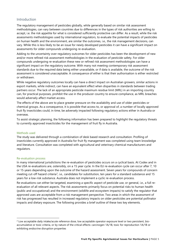# <span id="page-5-0"></span>Introduction

The regulatory management of pesticides globally, while generally based on similar risk assessment methodologies, can vary between countries due to differences in the types of risk authorities are willing to accept, i.e. the risk appetite for what is considered sufficiently protective can differ. As a result, while the risk assessments methodologies used by international regulators, to evaluate the potential impacts of pesticides on human health and the environment, are similar the outcomes, i.e., the risk management decisions, can vary. While this is less likely to be an issue for newly developed pesticides it can have a significant impact on assessments for older compounds undergoing re-evaluation.

Adding to the uncertainty over regulatory outcomes for older pesticides has been the development of new and/or more refined risk assessment methodologies in the evaluation of pesticide safety. For older compounds undergoing re-evaluation these new or refined risk assessment methodologies can have a significant impact on the regulatory outcome. With many not meeting contemporary risk assessment standards due to the required data being either unavailable, or if data is available, the outcome of the risk assessment is considered unacceptable. A consequence of either is that their authorisation is either restricted or withdrawn.

While negative regulatory outcomes locally can have a direct impact on Australian growers, similar actions in export markets, while indirect, can have an equivalent effect when disparities in standards between trading partners occur. The lack of an appropriate pesticide maximum residue limit (MRL) in an importing country can, for practical purposes, prohibit the use in the producer country to ensure compliance, as MRL breaches would adversely affect market access.

The effects of the above are to place greater pressure on the availability and use of older pesticides or chemical groups. As a consequence, it is possible that access to, or approval of, a number of locally approved fruit fly insecticides could, in time, be adversely impacted following regulatory actions either in Australia or overseas.

To assist strategic planning, the following information has been prepared to highlight the regulatory threats to currently approved insecticides for the management of fruit fly in Australia.

#### <span id="page-5-1"></span>Methods used

The study was delivered through a combination of desk based research and consultation. Profiling of insecticides currently approved in Australia for fruit fly management was completed using team knowledge and literature. Consultation was completed with agricultural and veterinary chemical manufacturers and regulators.

#### <span id="page-5-2"></span>Re-evaluation process

In many international jurisdictions the re-evaluation of pesticides occurs on a cyclical basis. At Codex and in the USA re-evaluations are, ostensibly, on a 15 year cycle. In the EU re-evaluation cycle can occur after 7, 10 or 15-years depending upon the outcome of the hazard assessment. Seven years for compounds of concern meeting cut-off hazard criteria<sup>2</sup>, i.e., candidates for substitution, ten years for a standard substance and 15 years for a low-risk substance. Australia does not implement a cyclic re-evaluation process.

Re-evaluations can either be targeted, examining a specific aspect of pesticide use, or general, i.e., a full reevaluation of all relevant aspects. The risk assessments primarily focus on potential risks to human health (public and occupational) and the environment (wildlife and ecosystem impacts) to satisfy the regulator that approved uses are acceptable from a risk management perspective. Two areas in which the assessment of risk has progressed has resulted in increased regulatory impacts on older pesticides are potential pollinator impacts and dietary exposure. The following provides a brief outline of these two key elements.

<span id="page-5-3"></span><sup>&</sup>lt;sup>2</sup> Low acceptable daily intake/acute reference dose, low acceptable operator exposure level or two persistent, bioaccumulative or toxic criteria, or by nature of the critical effects: carcinogen 1A/1B, toxic for reproduction 1A/1B or exhibiting endocrine disruption properties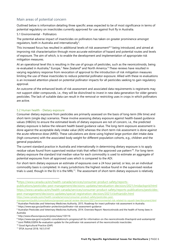# <span id="page-6-0"></span>Main areas of potential concern

Outlined below is information detailing three specific areas expected to be of most significance in terms of potential regulatory on insecticides currently approved for use against fruit fly in Australia.

#### 5.1 Environmental - Pollinators

The potential adverse impact of insecticides on pollinators has taken on greater prominence amongst regulators, both in Australia and internationally<sup>[3](#page-6-2)</sup>.

This increased focus has resulted in additional levels of risk assessment<sup>[4](#page-6-3),[5](#page-6-4)</sup> being introduced, and aimed at improving risk characterisation through more accurate estimation of hazard and potential routes and levels of exposure. The aim of which, is to enable the development and implementation of appropriate risk mitigation measures.

At an operational level this is resulting in the use of groups of pesticides, such as the neonicotinoids, being re-evaluated in Australia,<sup>[6](#page-6-5)</sup> Europe,<sup>[7](#page-6-6)</sup> New Zealand<sup>[8](#page-6-7)</sup> and North America.<sup>[9](#page-6-8)</sup> These reviews have resulted in varying regulatory response from revocation of approval to the introduction of risk mitigation measures limiting the use of these insecticides to reduce potential pollinator exposure. Allied with these re-evaluations is an increased attention placed on potential pollinator impacts for all pesticides seeking to gain regulatory approval.

An outcome of the enhanced levels of risk assessment and associated data requirements is registrants may not support older compounds, i.e., they will be disinclined to invest in new data generation for older generic pesticides. The lack of suitable data can result in the removal or restricting uses in crops in which pollinators are active.

#### <span id="page-6-1"></span>5.2 Human health - Dietary exposure

Consumer dietary exposure from pesticides are primarily assessed on the basis of long-term (life time) and short-term (single day) scenarios. These involve assessing dietary exposure against health-based guidance values (HBGVs) to ensure the estimated levels of dietary exposure are not of concern, i.e., the predicted dietary exposure is below the relevant health based guidance value. The long-term exposure assessment is done against the acceptable daily intake value (ADI) whereas the short-term risk assessment is done against the acute reference dose (ARfD). These calculations are done using highest large-portion diet intake data (high consumers) with the associated body weight for different population cohorts, e.g., children and the general population.

The current standard practice in Australia and internationally in determining dietary exposure is to apply residue values found from supervised residue trials that reflect the approved use pattern<sup>10</sup>. For long-term dietary exposure the standard trial median value for each commodity is used to estimate an aggregate of potential exposures from all approved uses which is compared to the ADI.

For short-term dietary exposure an estimate of exposures over a 24 hour period, or less, on an individual commodity basis is completed. In many jurisdictions the highest residue found in the supervised residue trials is used, though in the EU it is the MRL $<sup>11</sup>$  $<sup>11</sup>$  $<sup>11</sup>$ . The assessment of short-term dietary exposure is relatively</sup>

<span id="page-6-3"></span><sup>4</sup> Australian Pesticides and Veterinary Medicines Authority. 2015. Roadmap for insect pollinator risk assessment in Australia. <sup>5</sup> https://www.epa.gov/pollinator-protection/pollinator-risk-assessment-guidance

<span id="page-6-2"></span>[<sup>3</sup>https://www.canada.ca/en/health-canada/services/consumer-product-safety/reports-](https://www.canada.ca/en/health-canada/services/consumer-product-safety/reports-publications/pesticides-pest-management/decisions-updates/reevaluation-decision/2021/imidacloprid.html)

[publications/pesticides-pest-management/decisions-updates/reevaluation-decision/2021/imidacloprid.html](https://www.canada.ca/en/health-canada/services/consumer-product-safety/reports-publications/pesticides-pest-management/decisions-updates/reevaluation-decision/2021/imidacloprid.html) [https://www.canada.ca/en/health-canada/services/consumer-product-safety/reports-publications/pesticides](https://www.canada.ca/en/health-canada/services/consumer-product-safety/reports-publications/pesticides-pest-management/decisions-updates/special-registration-decision/2021/clothianidin.html)[pest-management/decisions-updates/special-registration-decision/2021/clothianidin.html](https://www.canada.ca/en/health-canada/services/consumer-product-safety/reports-publications/pesticides-pest-management/decisions-updates/special-registration-decision/2021/clothianidin.html) [https://www.canada.ca/en/health-canada/services/consumer-product-safety/pesticides-pest-](https://www.canada.ca/en/health-canada/services/consumer-product-safety/pesticides-pest-management/public/consultations/proposed-special-review-decision/2021/environmental-risk-related-to-squash-bee/document.html)

[management/public/consultations/proposed-special-review-decision/2021/environmental-risk-related-to-squash-bee/document.html](https://www.canada.ca/en/health-canada/services/consumer-product-safety/pesticides-pest-management/public/consultations/proposed-special-review-decision/2021/environmental-risk-related-to-squash-bee/document.html)

<span id="page-6-5"></span><span id="page-6-4"></span><sup>6</sup> Australian Pesticides and Veterinary Medicines Authority. 2014. Overview Report: Neonicotinoids and the health of honey bees in

Australia

<span id="page-6-6"></span><sup>7</sup> http://www.efsa.europa.eu/en/press/news/130116

<span id="page-6-7"></span><sup>8</sup> https://www.epa.govt.nz/public-consultations/in-progress/call-for-information-on-the-neonicotinoids-thiacloprid-and-acetamiprid/

<span id="page-6-8"></span><sup>9</sup> Joint PMRA/USEPA Re-evaluation update for the pollinator risk assessment of the neonicotinoids insecticides

<span id="page-6-9"></span><sup>10</sup> Good Agricultural Practice (GAP)

<span id="page-6-10"></span><sup>11</sup> EFSA Journal 2018; 16(1):5147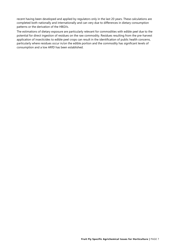recent having been developed and applied by regulators only in the last 20 years. These calculations are completed both nationally and internationally and can very due to differences in dietary consumption patterns or the derivation of the HBGVs.

The estimations of dietary exposure are particularly relevant for commodities with edible peel due to the potential for direct ingestion of residues on the raw commodity. Residues resulting from the pre-harvest application of insecticides to edible peel crops can result in the identification of public health concerns, particularly where residues occur in/on the edible portion and the commodity has significant levels of consumption and a low ARfD has been established.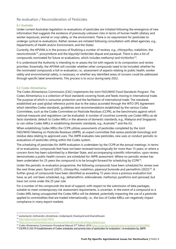# <span id="page-8-0"></span>Re-evaluation / Reconsideration of Pesticides

#### <span id="page-8-1"></span>6.1 Australia

Under current Australian legislation re-evaluations of pesticides are initiated following the emergence of new information that suggests the existence of previously unknown risks in terms of human health (dietary and worker exposure), animal or crop safety, or the environment. There is no requirement for pesticides to undergo cyclical re-evaluations. Rather reviews are initiated following consultation with allied agencies, e.g., Departments of Health and/or Environment, and the States.

Currently, the APVMA is in the process of finalising a number of reviews, e.g., chlorpyrifos, malathion, the neonicotinoids<sup>[12](#page-8-3)</sup>, procymidone and the bipyridyl herbicides diquat and paraquat. There is also a list of compounds nominated for future re-evaluations, which includes methomyl and trichlorfon[13.](#page-8-4)

It is understood the Authority is intending to re-assess the list with regards to its composition and review priorities. Essentially, the APVMA will consider whether other compounds need to be included; whether for the nominated compounds a full re-evaluation, i.e., assessment of aspects relating to public health, worker safety and environmental safety, is necessary; or whether any identified areas of concern could be addressed through specific label amendments. This process is to occur during early 2022.

#### <span id="page-8-2"></span>6.2 Codex Alimentarius

The Codex Alimentarius Commission (CAC) implements the Joint FAO/WHO Food Standards Program. The Codex Alimentarius is a collection of food standards covering foods and feeds moving in international trade. The purpose of which is consumer protection and the facilitation of international trade. The standards established are used global reference points due to the status accorded through the WTO SPS Agreement which identifies Codex standards, guidelines and recommendations established by the various Codex Committees, such as the Codex Committee on Pesticide Residues (CCPR), as the benchmarks against which national measures and regulations can be evaluated. A number of countries currently use Codex MRLs as de facto standards; default to Codex MRLs in the absence of domestic standards, e.g., Malaysia and Singapore; or can utilise Codex MRLs in establishing domestic standards, e.g., Australia<sup>[14](#page-8-5)</sup> and the EU.

When establishing Codex MRLs the CCPR utilizes assessments of pesticides completed by the Joint FAO/WHO Meeting on Pesticide Residues (JMPR), an expert committee that assess pesticide toxicology and residue data relating to approved uses. The JMPR evaluates new pesticides, new uses or conduct periodic reevaluations of pesticides sitting within the Codex system.

The scheduling of pesticides for JMPR evaluation is undertaken by the CCPR at the annual meetings. In terms of re-evaluations, compounds that have not been reviewed toxicologically for more than 15 years; or where a concern form has been submitted by a Member State, and accompanying scientific information, upon review, demonstrates a public health concern, are scheduled for JMPR assessment. Where no periodic review has been undertaken for 25 years the compound is to be brought forward for scheduling by CCPR<sup>15</sup>.

Under the periodic re-evaluation programme, the following compounds have been scheduled for review over the next three years: fipronil (2021), chlorpyrifos, malathion, piperonyl butoxide and permethrin (2023)<sup>[16](#page-8-7)</sup>. A further group of compounds have been identified as exceeding 15 years since a previous evaluation but have, as yet, not been scheduled, e.g., deltamethrin, esfenvalerate, methomyl, pyrethrins and spinosad, but have not come under the 25 year rule.

For a number of the compounds the level of support, with respect to the submission of data packages, suitable to meet contemporary risk assessment requirements, is uncertain. In the event of a compound or a Codex MRL being unsupported the Codex MRLs will be deleted, potentially impacting the use of a pesticide applied to commodities that are traded internationally, i.e., the loss of Codex MRLs can negatively impact compliance in many export markets.

<span id="page-8-3"></span> $12$  acetamiprid, clothianidin, dinotefuran, imidacloprid, thiacloprid and thiamethoxam

<span id="page-8-4"></span><sup>13</sup> <http://apvma.gov.au/node/10876>

<span id="page-8-5"></span><sup>14</sup> <https://www.foodstandards.gov.au/science/international/codex/Pages/default.aspx>

<span id="page-8-6"></span><sup>&</sup>lt;sup>15</sup> Codex Alimentarius Commission Procedural Manual 27<sup>th</sup> Edition 201[9 https://www.fao.org/publications/card/en/c/CA2329EN/](https://www.fao.org/publications/card/en/c/CA2329EN/)

<span id="page-8-7"></span><sup>16</sup> CX/PR 21/52/19 Establishment of Codex schedules and priority lists of pesticides for evaluation / re-evaluation by JMPR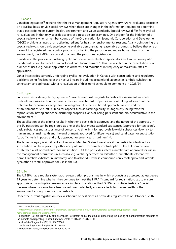#### <span id="page-9-0"></span>6.3 Canada

Canadian legislation<sup>[17](#page-9-3)</sup> requires that the Pest Management Regulatory Agency (PMRA) re-evaluates pesticides on a cyclical basis, or via special reviews when there are changes in the information required to determine that a pesticide meets current health, environment and value standards. Special reviews differ from cyclical re-evaluations in that only specific aspects of a pesticide are examined. One trigger for the initiation of a special review is when a member country of the Organisation for Economic Co-operation and Development (OECD) prohibits all uses of an active ingredient for health or environmental reasons. At any point during the special reviews, should evidence become available demonstrating reasonable grounds to believe that one or more of the registered pest control products containing the pesticide endangers human health or the environment, the PMRA may cancel or amend the pesticides registration.

Canada is in the process of finalising cyclic and special re-evaluations (pollinators and impact on aquatic invertebrates) for clothianidin, imidacloprid and thiamethoxam<sup>18</sup>. This has resulted in the cancellation of a number of uses, e.g., foliar application in orchards, and reductions in frequency or maximum rates of application.

Other insecticides currently undergoing cyclical re-evaluation in Canada with consultations and regulatory decisions being finalised over the next 2-3 years including: acetamiprid, abamectin, lambda-cyhalothrin, spinetoram and spinosad; with a re-evaluation of thiacloprid schedule to commence in 2023/24.

#### <span id="page-9-1"></span>6.4 Europe

European pesticide regulatory system is 'hazard-based' with regards to pesticide assessment, in which pesticides are assessed on the basis of their intrinsic hazard properties without taking into account the potential for exposure or scope for risk mitigation. The hazard based approach has involved the establishment of "cut-off" criteria for aspects such as carcinogenicity, mutagenicity, being toxic for reproduction, having endocrine disrupting properties, and/or being persistent and bio-accumulative in the environment $19$ .

The application of the criteria results in whether a pesticide is approved and the nature of the approval. In the EU pesticides can be registered as one of the four types: standard substances (approved for ten years), basic substances (not a substance of concern, no time limit for approval), low-risk substances (low risk to human and animal health and the environment, approved for fifteen years) and candidates for substitution (cut-off criteria imposed and only approved for seven years maximum) [20](#page-9-6).

The latter category is significant as it requires Member States to evaluate if the pesticides identified for substitution can be replaced by other adequate more favourable control options. The EU Commission established a list of candidates for substitution<sup>[21](#page-9-7)</sup>. Of the pesticides listed, a number are approved for use in the management of fruit flies in Australia, e.g., alpha-cypermethrin, bifenthrin, dimethoate etofenprox, fipronil, lambda-cyhalothrin, methomyl and thiacloprid. Of these compounds only etofenprox and lambdacyhalothrin are still approved for use in the EU.

#### <span id="page-9-2"></span>6.5 USA

The US EPA has a regular systematic re-registration programme in which products are assessed at least every 15 years to determine whether they continue to meet the FIFRA<sup>[22](#page-9-8)</sup> standard for registration, i.e., to ensure appropriate risk mitigation measures are in place. In addition, the US EPA can initiate Pesticide Special Reviews where concerns have been raised over potentially adverse effects to human health or the environment arising from use of a pesticide.

Under the current registration review schedule of pesticides all pesticides registered as of October 1, 2007

[management/decisions-updates.html](https://www.canada.ca/en/health-canada/services/consumer-product-safety/reports-publications/pesticides-pest-management/decisions-updates.html)

<span id="page-9-6"></span><sup>20</sup> Article 24 of Regulation (EC) No 1107/2009<br><sup>21</sup> Implementing Regulation (EU) No 2015/408

<span id="page-9-3"></span><sup>17</sup> Pest Control Products Act (the Act)

<span id="page-9-4"></span><sup>18</sup> [https://www.canada.ca/en/health-canada/services/consumer-product-safety/reports-publications/pesticides-pest-](https://www.canada.ca/en/health-canada/services/consumer-product-safety/reports-publications/pesticides-pest-management/decisions-updates.html)

<span id="page-9-5"></span><sup>19</sup> Regulation (EC) No 1107/2009 of the European Parliament and of the Council, Concerning the placing of plant protection products on the markets and repealing Council Directives 79/117/EEC and 91/414/EEC

<span id="page-9-8"></span><span id="page-9-7"></span><sup>&</sup>lt;sup>22</sup> Federal Insecticide, Fungicide and Rodenticide Act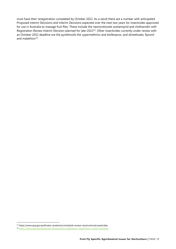must have their reregistration completed by October 2022. As a result there are a number with anticipated Proposed Interim Decisions and Interim Decisions expected over the next two years for insecticides approved for use in Australia to manage fruit flies. These include the neonicotinoids acetamiprid and clothianidin with Registration Review Interim Decision planned for late-2022<sup>[23](#page-10-0)</sup>. Other insecticides currently under review with an October 2022 deadline are the pyrethroids the cypermethrins and etofenprox, and dimethoate, fipronil and malathion $24$ .

<span id="page-10-0"></span><sup>23</sup> https://www.epa.gov/pollinator-protection/schedule-review-neonicotinoid-pesticides

<span id="page-10-1"></span><sup>24</sup> <https://www.epa.gov/pesticide-reevaluation/explanation-registration-review-schedule>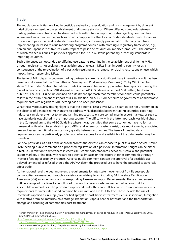# <span id="page-11-0"></span>Trade

The regulatory activities involved in pesticide evaluation, re-evaluation and risk management by different jurisdictions can result in the establishment of disparate standards. Where differing standards between trading partners exist trade can be disrupted with authorities in importing states rejecting commodities where residues or quarantine practices do not comply with either local or Codex standards. Such disparities in relation to pesticide residue standards are becoming increasingly problematic, with many countries implementing increased residue monitoring programs coupled with more rigid regulatory frameworks, e.g., Korean and Japanese 'positive lists' with respect to pesticide residues on imported produce<sup>25</sup>. The outcome of which can see residues of pesticides approved for use in Australia potentially breaching standards in importing countries.

Such differences can occur due to differing use patterns resulting in the establishment of differing MRLs; through registrants not seeking the establishment of relevant MRLs in an importing country; or as a consequence of the re-evaluation of a pesticide resulting in the removal or placing restrictions on use, which impact the corresponding MRLs.

The issue of MRL disparity between trading partners is currently a significant issue internationally. It has been raised and discussed at the Committee on Sanitary and Phytosanitary Measures (SPS) by WTO member states<sup>26</sup>. The United States International Trade Commission has recently published two reports exploring the global economic impacts of MRL disparities<sup>[27](#page-11-3)</sup> and an APEC Guideline on import MRL setting has been publish<sup>[28](#page-11-4)</sup>. The APEC Guideline outlined an assessment approach that member economies could potentially follow in the establishment of import MRLs. In addition, an APEC Compendium of government administrative requirements with regards to MRL setting has also been published $^{29}$  $^{29}$  $^{29}$ .

What these various activities highlight is that the potential issues over MRL disparities are not uncommon. In the absence of generalised mechanisms to address MRL disparities between trading countries, exporting industries can either attempt to amend farming practices to ensure compliance in export markets, or seek to have standards established in the importing country. The difficulty with the latter approach was highlighted in the Compendium to the APEC Guideline where it was identified that some economies have no formal framework with which to establish import MRLs; and where such systems exist, data requirements, associated fees and assessment timeframes can vary greatly between economies. The issue of meeting data requirements, can be particularly problematic, where access to, and availability of the data needed may be uncertain.

For new pesticides, as part of the approval process the APVMA can choose to publish a Trade Advice Notice (TAN) seeking public comment on a proposed registration of a pesticide. Information sought can be either direct, i.e., in relation to differences in chemical × commodity standards between Australia and potential export markets, or indirect, with regard to potential impacts on the export of other commodities through livestock feeding of crop by-products. Adverse public comment can see the approval of a pesticide use delayed, amended or refused should the APVMA deem the proposed use to have the potential to adversely affect trade.

At the national level the quarantine entry requirements for interstate movement of fruit fly susceptible commodities are managed through a variety or regulatory tools, including 64 Interstate Certification Assurance (ICA) arrangements, and corresponding Tasmanian Import Requirements. These arrangements outline a range of practices to be followed to allow the cross-border movement of various fruit fly susceptible commodities. The procedures approved under the various ICA's are to ensure quarantine entry requirements for interstate traded commodities are met and are fruit fly free. These include the use of insecticides applied as in-crop (cover or bait sprays) or post-harvest treatments, visual inspection, fumigation with methyl bromide, maturity, cold storage, irradiation, vapour heat or hot water and the transportation, storage and handling of commodities post treatment.

<span id="page-11-1"></span><sup>&</sup>lt;sup>25</sup> Korean Ministry of Food and Drug Safety: New system for management of pesticide residues in food. (Positive List System) 2016. <sup>26</sup> G/SPS/R/85. & G/SPS/W/292/Rev.4.

<span id="page-11-2"></span>[https://www.wto.org/english/news\\_e/news17\\_e/sps\\_02nov17\\_e.htm](https://www.wto.org/english/news_e/news17_e/sps_02nov17_e.htm)

<span id="page-11-3"></span><sup>&</sup>lt;sup>27</sup> [https://www.usitc.gov/press\\_room/news\\_release/2021/er0302ll1730.htm](https://www.usitc.gov/press_room/news_release/2021/er0302ll1730.htm)

<span id="page-11-4"></span><sup>&</sup>lt;sup>28</sup> https://www.APEC.org/publications/2016/08/import-MRL-guideline-for-pesticides.

<span id="page-11-5"></span><sup>&</sup>lt;sup>29</sup> [http://fscf-ptin.apec.org/docs/2019/Final\\_APEC\\_Compendium\\_18\\_February\\_2019.pdf](http://fscf-ptin.apec.org/docs/2019/Final_APEC_Compendium_18_February_2019.pdf)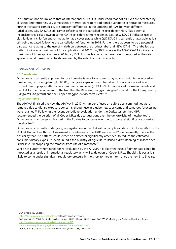In a situation not dissimilar to that of international MRLs, it is understood that not all ICA's are accepted by all states and territories, i.e., some states or territories require additional quarantine certification measures. Further increasing complexity are apparent differences in the updating of ICAs between different jurisdictions, e.g., SA ICA 2 still carries reference to the cancelled insecticide fenthion. Plus potential inconsistencies exist between some ICA insecticide treatment regimes, e.g., NSW ICA-21 indicates use of clothianidin, trichlorfon and/or malathion as a cover sprays while QLD ICA-21 is currently unavailable as it is still being updated following the cancellation of fenthion in 2014. Further there appears to be a potential discrepancy relating to the use of malathion between the product label and NSW ICA-21. The labelled use pattern indicates a maximum of four applications at 101.2 g ai/100L whereas the NSW ICA-21 indicates a maximum of three applications at 61.6 g ai/100L. It is unclear why the lower rate is proposed as the rate applied should, presumably, be determined by the extent of fruit fly activity.

## <span id="page-12-0"></span>Insecticides of interest

#### <span id="page-12-1"></span>8.1 Dimethoate

Dimethoate is currently approved for use in Australia as a foliar cover spray against fruit flies in avocados, blueberries, citrus, eggplant (PER12506), mangoes, capsicums and tomatoes. It is also approved as an orchard clean-up spray after harvest has been completed (PER13859). It is approved for use in Canada and the USA for the management of the fruit flies the Blueberry maggot (*Rhagoletis mendax*), the Cherry fruit fly (*Rhagoletis indifferens*) and the Pepper maggot (*Zonosemata electa*)[30.](#page-12-2)

#### *Regulatory status*

The APVMA finalised a review the APVMA in 2017. A number of uses on edible peel commodities were removed due to dietary exposure concerns, though use in blueberries, capsicums and tomatoes (processing) were retained<sup>[31](#page-12-3)</sup>. Following the recent periodic re-evaluation under the Codex system the JMPR recommended the deletion of all Codex MRLs due to questions over the genotoxicity of metabolites[32.](#page-12-4) Dimethoate is no longer authorised in the EU due to concerns over the toxicological significance of various metabolites $33$ .

Dimethoate is currently undergoing re-registration in the USA with a completion date of October 2022. In the US EPA Human Health Risk Assessment exceedances of the ARfD were noted<sup>[34](#page-12-6)</sup>. Consequently, there is the possibility that use patterns could either be deleted or significantly amended, to reduce the estimated consumer dietary exposure levels. In India the Ministry of Agriculture issued a draft Banning of Insecticides Order in 2020 proposing the removal from use of dimethoate<sup>[35](#page-12-7)</sup>.

While not currently nominated for re-evaluation by the APVMA it is likely that uses of dimethoate could be impacted as a result of international regulatory activity, i.e., deletion of Codex MRLs. Should this occur it is likely to come under significant regulatory pressure in the short to medium term, i.e., the next 3 to 5 years.

<span id="page-12-2"></span><sup>30</sup> USA Cygon 480 EC label

<span id="page-12-3"></span><sup>&</sup>lt;sup>31</sup> <https://apvma.gov.au/dimethoate> Dimethoate decision report.

<span id="page-12-4"></span><sup>&</sup>lt;sup>32</sup> FAO and WHO. 2020. Pesticide residues in food 2019 - Report 2019 - Joint FAO/WHO Meeting on Pesticide Residues. Rome

<span id="page-12-5"></span><sup>33</sup> <http://www.efsa.europa.eu/en/efsajournal/pub/4647>

<span id="page-12-6"></span><sup>34</sup> <https://www.regulations.gov/document/EPA-HQ-OPP-2009-0059-0027>

<span id="page-12-7"></span><sup>&</sup>lt;sup>35</sup> Notification S.O.1512 (E) dated 14<sup>th</sup> May 2020 (F.No.13035/15/2019)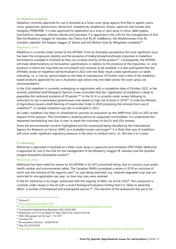#### <span id="page-13-0"></span>8.2 Malathion/maldison

Malathion currently approved for use in Australia as a foliar cover spray against fruit flies in apples, pears, citrus, grapevines, persimmons, Stone fruit, strawberries, blueberries, Rubus, capsicum and tomato and mangoes (PER83998). It is also approved for application as a strip or spot spray in citrus, table grapes, Summerfruit, mangoes, cherries, berries and avocados. It is approved in the USA for the management of fruit flies the Blueberry maggot (*R. mendax*), the Cherry fruit fly (*R. indifferens*), the Mediterranean fruit fly (*Ceratitis capitata*), the Pepper maggot (*Z. electa*) and the Walnut husk fly (*Rhagoletis completa*)[36.](#page-13-2)

#### *Regulatory status*

Malathion is currently under review by the APVMA. From an Australian perspective the most significant issue has been the compounds stability and the presence of trialkyl phosphorothioate impurities in malathion formulations available in Australia as they can increase toxicity of the product<sup>[37](#page-13-3)</sup>. Consequently, the APVMA will make determinations on formulation specifications in relation to the presence of the impurities, i.e., only products in which the impurities are not present will continue to be available. It is also anticipated that the APVMAs review of malathion will be finalised in 2022 with the likely result a date specification on labels indicating, i.e., a 'Use by' period based on the date of manufacture. Of further note is that of the malathion based products approved for use in Australian agriculture only one label carries the cover spray use recommendation.

In the USA malathion is currently undergoing re-registration with a completion date of October 2022. In the recently published draft Biological Opinion it was concluded that the "*registration of malathion is likely to jeopardize the continued existence of 78 species*"[38](#page-13-4). In the EU it is currently under review following its restriction to use in permanent greenhouses only based on high risk to birds in 2018<sup>39</sup>. In India the Ministry of Agriculture issued a draft Banning of Insecticides Order in 2020 proposing the removal from use of malathion<sup>[40](#page-13-6)</sup>. In Canada malathion was last re-evaluated in 2012.

At Codex, malathion has been re-scheduled for periodic re-evaluation by the JMPR from 2022 to 2023 at the request of the sponsor. The Committee is awaiting advice on supported commodities. It is understood the requested rescheduling was due, in part, to await the outcomes of the EU and USA reviews.

Given the environmental concerns highlighted and the compound being classified by the International Agency for Research on Cancer (IARC) as a probable human carcinogen<sup>[41](#page-13-7)</sup> it is likely that uses of malathion will come under significant regulatory pressure in the short to medium term, i.e., the next 3 to 5 years.

#### <span id="page-13-1"></span>8.3 Methomyl

Methomyl is approved in Australia as a foliar cover spray in capsicums and tomatoes (PER13566). Methomyl is approved for use in the USA for the management of the Blueberry maggot (*R. mendax*) and the Spotted winged drosophila (*Drosophila suzukii*)[42](#page-13-8).

#### *Regulatory status*

Methomyl has been listed for review by the APVMA in its 2015 prioritised listing, due to concerns over public health, worker and environmental safety. The Canadian PMRA completed a review in 2018 an outcome of which was the removal of the majority uses<sup>[43](#page-13-9)</sup> or uses being restricted, e.g., retained vegetable crop uses are restricted to one application per year, no tree crop uses were retained.

In the EU methomyl is no longer authorised with the majority of MRLs set at the LOQ<sup>[44](#page-13-10)</sup>. The compound is currently under review in the US with a recent Biological Evaluation finding that it is "likely to adversely affect" a number of threatened and endangered species"<sup>[45](#page-13-11)</sup>. This element of the assessment has yet to be

<span id="page-13-2"></span><sup>36</sup> Fyfanon®

<span id="page-13-3"></span><sup>37</sup> <http://apvma.gov.au/node/12586>

<span id="page-13-4"></span><sup>38</sup> <https://www.epa.gov/endangered-species/biological-opinions-available-public-comment>

<span id="page-13-5"></span><sup>39</sup> Commission Implementing Regulation (EU) 2019/1495

<span id="page-13-6"></span><sup>40</sup> Notification S.O.1512 (E) dated 14th May 2020 (F.No.13035/15/2019)

<span id="page-13-7"></span><sup>41</sup> IARC Monograph Vol 30, Sup 7, 112 2017

<span id="page-13-8"></span><sup>42</sup> Lannate® SP

<span id="page-13-9"></span><sup>43</sup> Re-evaluation Decision - RVD2018-05

<span id="page-13-10"></span><sup>44</sup> Reg. (EU) 2016/1822

<span id="page-13-11"></span><sup>45</sup> <https://www.epa.gov/pesticides/epa-releases-final-biological-evaluations-carbaryl-and-methomyls-impacts-endangered>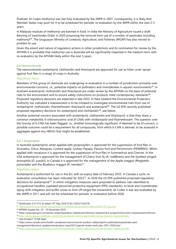finalised. At Codex methomyl was last fully evaluated by the JMPR in 2001. Consequently, it is likely that Member States may push for it to be scheduled for periodic re-evaluation by the JMPR within the next 2-3 years.

In Malaysia residues of methomyl are banned in food. In India the Ministry of Agriculture issued a draft Banning of Insecticides Order in 2020 proposing the removal from use of a number of pesticides including methomyl[46.](#page-14-2) The Uruguayan Ministry of Livestock, Agriculture, and Fisheries (MGAP) has also moved to prohibit its use.

Given the extent and nature of regulatory actions in other jurisdictions and its nomination for review by the APVMA it is probable that methomyl use in Australia will be significantly impacted in the medium term with re-evaluation by the APVMA likely within the next 5 years.

#### <span id="page-14-0"></span>8.4 Neonicotinoids

The neonicotinoids acetamiprid, clothianidin and thiacloprid are approved for use as foliar cover sprays against fruit flies in a range of crops in Australia.

#### *Regulatory status*

Members of the group of chemicals are undergoing re-evaluation in a number of jurisdictions primarily over environmental concerns, i.e., potential impacts on pollinators and invertebrates in aquatic environments<sup>47</sup>. In Australia acetamiprid, clothianidin and thiacloprid are under review by the APVMA on the basis of potential risks to the environment and to ensure safety instructions on products meet contemporary standards<sup>48</sup>. Proposed regulatory decisions are expected in late 2022. In New Zealand the Environmental Protection Authority has indicated a reassessment is to be initiated to investigate environmental risks from use of imidacloprid, clothianidin, thiamethoxam, thiacloprid and acetamiprid<sup>[49](#page-14-5)</sup>. The US EPA recently published proposed regulatory decisions for acetamiprid and clothianidin<sup>50</sup>, see below.

Another potential concern associated with acetamiprid, clothianidin and thiacloprid, is that they share a common metabolite, 6-chloronicotinic acid (6-CNA) with imidacloprid and thiamethoxam. The question over the toxicity of 6-CNA has been flagged, i.e., whether toxicologically significant. If deemed to be of concern, a possible outcome could be a requirement for all compounds, from which 6-CAN is derived, to be assessed in aggregate against any HBGVs that might be established.

#### <span id="page-14-1"></span>8.4.1 Acetamiprid

In Australia acetamiprid, when applied with pyriproxyfen, is approved for the suppression of fruit flies in Avocados, Citrus, Mangoes, Custard apple, Lychee, Papaya, Passion fruit and Persimmons (PER89943). When applied with novaluron it is approved for the suppression of fruit flies in Summerfruit and Cherries. In the USA acetamiprid is approved for the management of Cherry fruit fly (*R. indifferens*) and the Spotted winged drosophila (*D. suzukii*). In Canada it is approved for the management of the Apple maggot (*Rhagoletis pomonella*) and the Blueberry maggot (*R. mendax)[51](#page-14-7)*.

#### *Regulatory status*

Acetamiprid is authorised for use in the EU, with an expiry date of February 2033. In Canada a cyclic re-evaluation consultation has been indicated for 2023<sup>[52](#page-14-8)</sup>. In 2020 the US EPA published proposed regulatory decisions for acetamiprid<sup>53</sup>. In which mitigation measures were proposed to address risks identified to occupational handlers (updated personnel protective equipment (PPE) standards), to birds and invertebrates (spray drift mitigation and buffer zones to limit off-target the movement). At Codex it was last evaluated by the JMPR in 2011 and will not be scheduled for periodic re-evaluation before 2026.

<span id="page-14-2"></span><sup>46</sup> Notification S.O.1512 (E) dated 14th May 2020 (F.No.13035/15/2019)

<span id="page-14-3"></span><sup>47</sup> [http://www.hc-sc.gc.ca/cps-spc/pest/part/consultations/\\_prvd2016-20/prvd2016-20-eng.php](http://www.hc-sc.gc.ca/cps-spc/pest/part/consultations/_prvd2016-20/prvd2016-20-eng.php)

<span id="page-14-4"></span><sup>48</sup> APVMA Gazette No. 23 – 19 November 2019

<span id="page-14-5"></span><sup>49</sup> https://www.epa.govt.nz/industry-areas/hazardous-substances/chemical-reassessment-programme/current-reassessments/#Active

<span id="page-14-6"></span><sup>50</sup> <https://www.epa.gov/pollinator-protection/proposed-interim-registration-review-decision-neonicotinoids>

<span id="page-14-7"></span><sup>51</sup> USA ArVida® 70 WP label

<span id="page-14-8"></span><sup>52</sup> https://www.canada.ca/en/health-canada/services/consumer-product-safety/reports-publications/pesticides-pest-

management/decisions-updates/reevaluation-note/2021/special-review-work-plan-2021-2026.html

<span id="page-14-9"></span><sup>53</sup> <https://www.epa.gov/pollinator-protection/proposed-interim-registration-review-decision-neonicotinoids>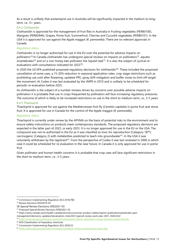As a result is unlikely that acetamiprid use in Australia will be significantly impacted in the medium to longterm, i.e., 5+ years.

#### <span id="page-15-0"></span>8.4.2 Clothianidin

Clothianidin is approved for the management of fruit flies in Australia in Fruiting vegetables (PER80100), Mangoes (PER83944), Grapes, Pome fruit, Summerfruit, Cherries and Cucurbit vegetables (PER80101). In the USA it is approved for use against the Apple maggot (*R. pomonella*). There are no relevant approvals in Canada.

#### *Regulatory status*

Clothianidin is no longer authorised for use in the EU over the potential for adverse impacts on pollinators<sup>54</sup>. In Canada clothianidin has undergone special reviews on impacts on pollinators<sup>55</sup>, aquatic invertebrates<sup>[56](#page-15-4)</sup> and on a non-honey bee pollinator the Squash bee<sup>57</sup>. It is also the subject of cyclical reevaluations with consultations indicated for 2023[58](#page-15-6).

In 2020 the US EPA published proposed regulatory decisions for clothianidin<sup>[59](#page-15-7)</sup>. These included the proposed cancellation of some uses, a 15-20% reduction in seasonal application rates, crop stage restrictions such as prohibiting use until after flowering, updated PPE, spray drift mitigation and buffer zones to limit off-target the movement. At Codex it was last evaluated by the JMPR in 2010 and is unlikely to be scheduled for periodic re-evaluation before 2025.

As clothianidin is the subject of a number reviews driven by concerns over possible adverse impacts on pollinators it is probable that use in crops frequented by pollinators will face increasing regulatory pressures. The outcome of which is likely to be increased restrictions on use in the short to medium-term, i.e., 3-5 years.

#### <span id="page-15-1"></span>8.4.3 Thiacloprid

Thiacloprid is approved for use against the Mediterranean fruit fly (*Ceratitis capitata*) in pome fruit and stone fruit. It is approved for use in Canada for the control of the Apple maggot (*R. pomonella*).

#### *Regulatory status*

Thiacloprid is currently under review by the APVMA on the basis of potential risks to the environment and to ensure safety instructions on products meet contemporary standards. The proposed regulatory decisions are expected in the latter part of 2022, or early 2023. It is no longer approved for use in the EU or the USA. The compound was not re-authorised in the EU as it was classified as toxic for reproduction (Category 1B<sup>[60](#page-15-8)</sup>); carcinogenic (Category 2) with metabolites predicted to leach into groundwater<sup>61</sup>. In the USA it was voluntarily withdrawn by the registrant<sup>[62](#page-15-10)</sup>. From the perspective of Codex it was last reviewed in 2006 in which case it could be scheduled for re-evaluation in the near future. In Canada it is only approved for use in pome fruit.

Given pollinator and human health concerns it is probable that crop uses will face significant restrictions in the short to medium-term, i.e., 3-5 years.

<span id="page-15-2"></span><sup>54</sup> Commission Implementing Regulation (EU) 2018/784

<span id="page-15-3"></span><sup>55</sup> Review Decisions RVD2019-05

<span id="page-15-4"></span><sup>56</sup> Special Review Decisions SRD2021-03

<span id="page-15-5"></span><sup>57</sup> Proposed Special Review Decisions PSRD2021-02

<span id="page-15-6"></span><sup>58</sup> https://www.canada.ca/en/health-canada/services/consumer-product-safety/reports-publications/pesticides-pestmanagement/decisions-updates/reevaluation-note/2021/special-review-work-plan-2021-2026.html

<span id="page-15-7"></span><sup>59</sup> <https://www.epa.gov/pollinator-protection/proposed-interim-registration-review-decision-neonicotinoids>

<span id="page-15-9"></span><span id="page-15-8"></span><sup>&</sup>lt;sup>60</sup> GHS Classification of Hazardous chemicals  $10^{61}$  Commission Implementing Regulation (EU) 2020/23

<span id="page-15-10"></span><sup>62</sup> <https://www.epa.gov/pollinator-protection/schedule-review-neonicotinoid-pesticides>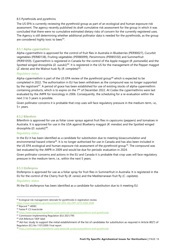#### 8.5 Pyrethroids and pyrethrins

The US EPA is currently reviewing the pyrethroid group as part of an ecological and human exposure risk assessment. The agency recently published its draft cumulative risk assessment for the group in which it was concluded that there were no cumulative estimated dietary risks of concern for the currently registered uses. The Agency is still determining whether additional pollinator data is needed for the pyrethroids, as the group are considered highly toxic to bees<sup>63</sup>.

#### <span id="page-16-0"></span>8.5.1 Alpha-cypermethrin

Alpha-cypermethrin is approved for the control of fruit flies in Australia in Blueberries (PER90027), Cucurbit vegetables (PER80138), Fruiting vegetables (PER80099), Persimmons (PER85550) and Summerfruit (PER91059). Cypermethrin is registered in Canada for the control of the Apple maggot (*R. pomonella*) and the Spotted winged drosophila (*D. suzukii*)<sup>[64](#page-16-4)</sup>. It is registered in the US for the management of the Pepper maggot (*Z. electa*) and the Walnut husk fly (*R. completa*)[65.](#page-16-5)

#### *Regulatory status*

Alpha-cypermethrin is part of the US EPA review of the pyrethroid group<sup>[66](#page-16-6)</sup> which is expected to be completed in 2022. The authorisation in EU has been withdrawn as the compound was no longer supported by the registrant<sup>67</sup>. A period of grace has been established for use of existing stocks of alpha-cypermethrin containing products, which is to expire on the 7<sup>th</sup> of December 2022. At Codex the cypermethrins were last evaluated by the JMPR for toxicology in 2006. Consequently, the scheduling for a re-evaluation within the next 3 to 5 years is possible.

Given pollinator concerns it is probable that crop uses will face regulatory pressure in the medium-term, i.e., 5+ years.

#### <span id="page-16-1"></span>8.5.2 Bifenthrin

Bifenthrin is approved for use as foliar cover sprays against fruit flies in capsicums (peppers) and tomatoes in Australia. It is approved for use in the USA against Blueberry maggot (*R. mendax*) and the Spotted winged drosophila (*D. suzukii*)[68](#page-16-8).

#### *Regulatory status*

In the EU it has been identified as a candidate for substitution due to meeting bioaccumulation and environmental hazard criteria<sup>69</sup>. It is no longer authorised for use in Canada and has also been included in the US EPA ecological and human exposure risk assessment of the pyrethroid group<sup>70</sup>. The compound was last evaluated by the JMPR in 2009 and would be due for periodic evaluation in 2024.

Given pollinator concerns and actions in the EU and Canada it is probable that crop uses will face regulatory pressure in the medium-term, i.e., within the next 5 years.

#### <span id="page-16-2"></span>8.5.3 Etofenprox

Etofenprox is approved for use as a foliar spray for fruit flies in Summerfruit in Australia. It is registered in the EU for the control of the Cherry fruit fly (*R. cerasi*) and the Mediterranean fruit fly (*C. capitata*).

#### *Regulatory status*

IN the EU etofenprox has been identified as a candidate for substitution due to it meeting EU

<span id="page-16-3"></span><sup>&</sup>lt;sup>63</sup> Ecological risk management rationale for pyrethroids in registration review.

<https://www.regulations.gov/document?D=EPA-HQ-OPP-2010-0384-0048> <sup>64</sup> Ripcord ™ 400EC

<span id="page-16-5"></span><span id="page-16-4"></span><sup>65</sup> Fastac® CS Insecticide

<span id="page-16-6"></span><sup>66</sup> <https://www.epa.gov/ingredients-used-pesticide-products/pyrethrins-and-pyrethroids>

<span id="page-16-7"></span><sup>67</sup> Commission Implementing Regulation (EU) 2021/795

<span id="page-16-8"></span><sup>68</sup> USA Bifenture 10DF label

<span id="page-16-9"></span> $69$  Ad-hoc study to support the initial establishment of the list of candidates for substitution as required in Article 80(7) of Regulation (EC) No 1107/2009: Final report

<span id="page-16-10"></span><sup>70</sup> <https://www.epa.gov/ingredients-used-pesticide-products/pyrethrins-and-pyrethroids>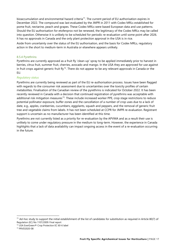bioaccumulation and environmental hazard criteria<sup>[71](#page-17-1)</sup>. The current period of EU authorisation expires in December 2022. The compound was last evaluated by the JMPR in 2011 with Codex MRLs established for pome fruit, nectarine, peach and grapes. These Codex MRLs were based European data and use patterns. Should the EU authorisation for etofenprox not be renewed, the legitimacy of the Codex MRLs may be called into question. Otherwise it is unlikely to be scheduled for periodic re-evaluation until some point after 2026. It has no approvals in Canada and the only plant protection approval in the USA is in rice.

Aside from uncertainty over the status of the EU authorisation, and the basis for Codex MRLs, regulatory action in the short to medium-term in Australia or elsewhere appears unlikely.

#### <span id="page-17-0"></span>8.5.4 Pyrethrins

Pyrethrins are currently approved as a fruit fly 'clean-up' spray to be applied immediately prior to harvest in berries, citrus fruit, summer fruit, cherries, avocado and mango. In the USA they are approved for use against in fruit crops against generic fruit fly<sup>72</sup>. There do not appear to be any relevant approvals in Canada or the EU.

#### *Regulatory status*

Pyrethrins are currently being reviewed as part of the EU re-authorisation process. Issues have been flagged with regards to the consumer risk assessment due to uncertainties over the toxicity profiles of certain metabolites. Finalisation of the Canadian review of the pyrethrins is indicated for October 2022. It has been recently reviewed in Canada with a decision that continued registration of pyrethrins was acceptable with additional risk mitigation measures<sup>73</sup>. These include increased worker PPE, crop stage restrictions to reduce potential pollinator exposure, buffer zones and the cancellation of a number of crop uses due to a lack of date, e.g., apples, cranberries, cucumbers, eggplants, squash and peppers, and the removal of generic fruit tree and vegetable claims from labels. It has not been scheduled at CCPR for JMPR re-evaluation. Registrant support is uncertain as no manufacturer has been identified at this time.

Pyrethrins are not currently listed as a priority for re-evaluation by the APVMA and as a result their use is unlikely to come under regulatory pressure in the medium to long-term. However, the experience in Canada highlights that a lack of data availability can impact ongoing access in the event of a re-evaluation occurring in the future.

<span id="page-17-1"></span> $71$  Ad-hoc study to support the initial establishment of the list of candidates for substitution as required in Article 80(7) of Regulation (EC) No 1107/2009: Final report

<span id="page-17-2"></span><sup>72</sup> USA EverGreen® Crop Protection EC 60-6 label

<span id="page-17-3"></span><sup>73</sup> PRVD2020-08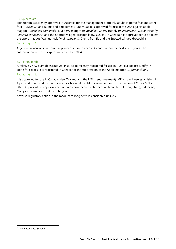#### <span id="page-18-0"></span>8.6 Spinetoram

Spinetoram is currently approved in Australia for the management of fruit fly adults in pome fruit and stone fruit (PER12590) and Rubus and blueberries (PER87408). It is approved for use in the USA against apple maggot (*Rhagoletis pomonella*) Blueberry maggot (*R. mendax*), Cherry fruit fly (*R. indifferens*), Currant fruit fly (*Epochra canadensis*) and the Spotted winged drosophila (*D. suzukii*). In Canada it is approved for use against the apple maggot, Walnut husk fly (*R. completa*), Cherry fruit fly and the Spotted winged drosophila.

#### *Regulatory status*

A general review of spinetoram is planned to commence in Canada within the next 2 to 3 years. The authorisation in the EU expires in September 2024.

#### <span id="page-18-1"></span>8.7 Tetraniliprole

A relatively new diamide (Group 28) insecticide recently registered for use in Australia against Medfly in stone fruit crops. It is registered in Canada for the suppression of the Apple maggot (*R. pomonella*)[74](#page-18-2).

#### *Regulatory status*

It is approved for use in Canada, New Zealand and the USA (seed treatment). MRLs have been established in Japan and Korea and the compound is scheduled for JMPR evaluation for the estimation of Codex MRLs in 2022. At present no approvals or standards have been established in China, the EU, Hong Kong, Indonesia, Malaysia, Taiwan or the United Kingdom.

Adverse regulatory action in the medium to long-term is considered unlikely.

<span id="page-18-2"></span><sup>74</sup> USA Vayego 200 SC label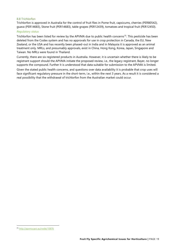#### <span id="page-19-0"></span>8.8 Trichlorfon

Trichlorfon is approved in Australia for the control of fruit flies in Pome fruit, capsicums, cherries (PER80542), guava (PER14683), Stone fruit (PER14683), table grapes (PER12439), tomatoes and tropical fruit (PER12450).

#### *Regulatory status*

Trichlorfon has been listed for review by the APVMA due to public health concerns<sup>[75](#page-19-1)</sup>. This pesticide has been deleted from the Codex system and has no approvals for use in crop protection in Canada, the EU, New Zealand, or the USA and has recently been phased-out in India and in Malaysia it is approved as an animal treatment only. MRLs, and presumably approvals, exist in China, Hong Kong, Korea, Japan, Singapore and Taiwan. No MRLs were found in Thailand.

Currently, there are six registered products in Australia. However, it is uncertain whether there is likely to be registrant support should the APVMA initiate the proposed review, i.e., the legacy registrant, Bayer, no longer supports the compound. Further it is understood that data suitable for submission to the APVMA is limited.

Given the stated public health concerns, and questions over data availability it is probable that crop uses will face significant regulatory pressure in the short-term, i.e., within the next 3 years. As a result it is considered a real possibility that the withdrawal of trichlorfon from the Australian market could occur.

<span id="page-19-1"></span><sup>75</sup> <http://apvma.gov.au/node/10876>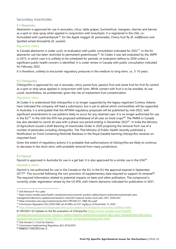# <span id="page-20-0"></span>Secondary insecticides

#### <span id="page-20-1"></span>9.1 Abamectin

Abamectin is approved for use in avocados, citrus, table grapes, Summerfruit, mangoes, cherries and berries as a spot or strip spray when applied in conjunction with lures/baits. It is registered in the USA, coformulated with cyantraniliprole[76](#page-20-4), for the Apple maggot (*R. pomonella*), Cherry fruit fly (*R. indifferens*) and Spotted wined drosophila (*D. suzukii)*.

#### *Regulatory status*

In Canada abamectin is under cyclic re-evaluation with public consultation indicated for 2022<sup>[77](#page-20-5)</sup>. In the EU abamectin use has been restricted to permanent greenhouses<sup>78</sup>. At Codex it was last evaluated by the JMPR in 2015, in which case it is unlikely to be scheduled for periodic re-evaluation before to 2030 unless a significant public health concern is identified. It is under review in Canada with public consultation indicated for February 2022.

It is therefore, unlikely to encounter regulatory pressures in the medium to long-term, i.e., 5-10 years.

#### <span id="page-20-2"></span>9.2 Chlorpyrifos

Chlorpyrifos is approved for use in avocado, citrus, pome fruit, passion fruit and stone fruit for fruit fly control as a spot or strip spray applied in conjunction with lures. While contact with fruit is to be avoided, its use could, nevertheless, be problematic given the risk of inadvertent fruit contamination.

#### *Regulatory status*

At Codex it is understood that chlorpyrifos is no longer supported by the legacy registrant Corteva. Adama have indicated the company will lead a submission, but is yet to advise which commodities will be supported. In Australia, it is anticipated that the APVMA regulatory proposals will be published by mid-2022, with significant amendments to use patterns likely to occur for any retained uses. It is no longer authorised for use in the EU<sup>79</sup>. In the USA the EPA has proposed withdrawal of all uses on food crops<sup>[80](#page-20-8)</sup>. The PMRA in Canada has also decided to cancel all uses with a phase-out period ending in December 2023<sup>81</sup>. In India the Ministry of Agriculture issued a draft Banning of Insecticides Order in 2020 proposing the removal from use of a number of pesticides including chlorpyrifos. The Thai Ministry of Public Health recently published a Notification on Food Containing Pesticide Residues in the Royal Gazette banning chlorpyrifos residues on imported food.

Given the extent of regulatory actions it is probable that authorisations of chlorpyrifos are likely to continue to decrease in the short-term, with probable removal from many jurisdictions.

#### <span id="page-20-3"></span>9.3 Fipronil

Fipronil is approved in Australia for use in a gel bait. It is also approved for a similar use in the USA<sup>82</sup>.

#### *Regulatory status*

Fipronil is not authorised for use in the Canada or the EU. In the EU the approval expired in September 2017<sup>83</sup>. This occurred following the non-provision of supplementary data required to support its renewal<sup>84</sup>. The required information related to potential impacts on bees and other pollinators. The compound is currently under registration review by the US EPA, with interim decisions indicated for publication in 2021.

<span id="page-20-6"></span><sup>78</sup> https://members.wto.org/crnattachments/2021/TBT/EEC/21\_1889\_00\_e.pdf

[canada/services/consumer-product-safety/reports-publications/pesticides-pest-management/decisions](https://www.canada.ca/en/health-canada/services/consumer-product-safety/reports-publications/pesticides-pest-management/decisions-updates/reevaluation-note/2021/n-methyl-carbamate/chlorpyrifos.html)[updates/reevaluation-note/2021/n-methyl-carbamate/chlorpyrifos.html](https://www.canada.ca/en/health-canada/services/consumer-product-safety/reports-publications/pesticides-pest-management/decisions-updates/reevaluation-note/2021/n-methyl-carbamate/chlorpyrifos.html)

<span id="page-20-4"></span><sup>76</sup> USA Minecto® Pro Label

<span id="page-20-5"></span><sup>77</sup> https://www.canada.ca/en/health-canada/services/consumer-product-safety/reports-publications/pesticides-pestmanagement/decisions-updates/reevaluation-note/2021/special-review-work-plan-2021-2026.html

<span id="page-20-7"></span><sup>&</sup>lt;sup>79</sup> Commission Regulation (EU) 2020/1085 set all MRLs at 0.01 mg/kg as of November 13, 2020<br><sup>80</sup> <https://www.epa.gov/newsreleases/epa-takes-action-address-risk-chlorpyrifos-and-protect-childrens-health>

<span id="page-20-8"></span>

<span id="page-20-9"></span><sup>81</sup> REV2021-02 Update on the Re-evaluation of Chlorpyrifo[s https://www.canada.ca/en/health-](https://www.canada.ca/en/health-canada/services/consumer-product-safety/reports-publications/pesticides-pest-management/decisions-updates/reevaluation-note/2021/n-methyl-carbamate/chlorpyrifos.html)

<span id="page-20-10"></span><sup>82</sup> USA Amulet C-L Fruit Fly Stations

<span id="page-20-11"></span><sup>83</sup> Commission Implementing Regulation (EU) 2016/2035

<span id="page-20-12"></span><sup>84</sup> SANCO/11309/2013 rev. 0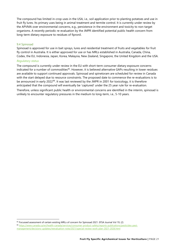The compound has limited in-crop uses in the USA, i.e., soil application prior to planting potatoes and use in fruit fly lures. Its primary uses being in animal treatment and termite control. It is currently under review by the APVMA over environmental concerns, e.g., persistence in the environment and toxicity to non-target organisms. A recently periodic re-evaluation by the JMPR identified potential public health concern from long-term dietary exposure to residues of fipronil.

#### <span id="page-21-0"></span>9.4 Spinosad

Spinosad is approved for use in bait sprays, lures and residential treatment of fruits and vegetables for fruit fly control in Australia. It is either approved for use or has MRLs established in Australia, Canada, China, Codex, the EU, Indonesia, Japan, Korea, Malaysia, New Zealand, Singapore, the United Kingdom and the USA.

#### *Regulatory status*

The compound is currently under review in the EU with short-term consumer dietary exposure concerns indicated for a number of commodities<sup>85</sup>. However, it is believed alternative GAPs resulting in lower residues are available to support continued approvals. Spinosad and spinetoram are scheduled for review in Canada with the start delayed due to resource constraints. The proposed date to commence the re-evaluations is to be announced in early 2022<sup>[86](#page-21-2)</sup>. It was last reviewed by the JMPR in 2001 for toxicology, it is therefore anticipated that the compound will eventually be 'captured' under the 25 year rule for re-evaluation.

Therefore, unless significant public health or environmental concerns are identified in the interim, spinosad is unlikely to encounter regulatory pressures in the medium to long-term, i.e., 5-10 years.

<span id="page-21-1"></span><sup>85</sup> Focussed assessment of certain existing MRLs of concern for Spinosad 2021. EFSA Journal Vol 19, (2)

<span id="page-21-2"></span><sup>86</sup> [https://www.canada.ca/en/health-canada/services/consumer-product-safety/reports-publications/pesticides-pest](https://www.canada.ca/en/health-canada/services/consumer-product-safety/reports-publications/pesticides-pest-management/decisions-updates/reevaluation-note/2021/special-review-work-plan-2021-2026.html)[management/decisions-updates/reevaluation-note/2021/special-review-work-plan-2021-2026.html](https://www.canada.ca/en/health-canada/services/consumer-product-safety/reports-publications/pesticides-pest-management/decisions-updates/reevaluation-note/2021/special-review-work-plan-2021-2026.html)